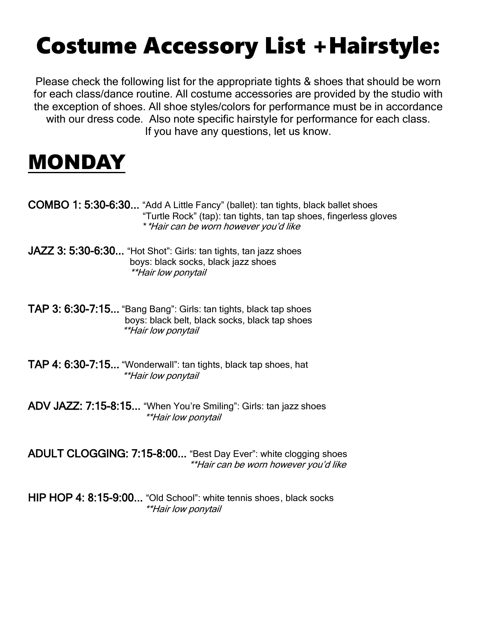# Costume Accessory List +Hairstyle:

Please check the following list for the appropriate tights & shoes that should be worn for each class/dance routine. All costume accessories are provided by the studio with the exception of shoes. All shoe styles/colors for performance must be in accordance with our dress code. Also note specific hairstyle for performance for each class. If you have any questions, let us know.

#### MONDAY

- COMBO 1: 5:30-6:30... "Add A Little Fancy" (ballet): tan tights, black ballet shoes "Turtle Rock" (tap): tan tights, tan tap shoes, fingerless gloves \*\*Hair can be worn however you'd like
- JAZZ 3: 5:30-6:30... "Hot Shot": Girls: tan tights, tan jazz shoes boys: black socks, black jazz shoes \*\*Hair low ponytail
- TAP 3: 6:30-7:15... "Bang Bang": Girls: tan tights, black tap shoes boys: black belt, black socks, black tap shoes \*\*Hair low ponytail
- TAP 4: 6:30-7:15... "Wonderwall": tan tights, black tap shoes, hat \*\*Hair low ponytail
- ADV JAZZ: 7:15-8:15... "When You're Smiling": Girls: tan jazz shoes \*\*Hair low ponytail

ADULT CLOGGING: 7:15-8:00... "Best Day Ever": white clogging shoes \*\*Hair can be worn however you'd like

HIP HOP 4: 8:15-9:00... "Old School": white tennis shoes, black socks \*\*Hair low ponytail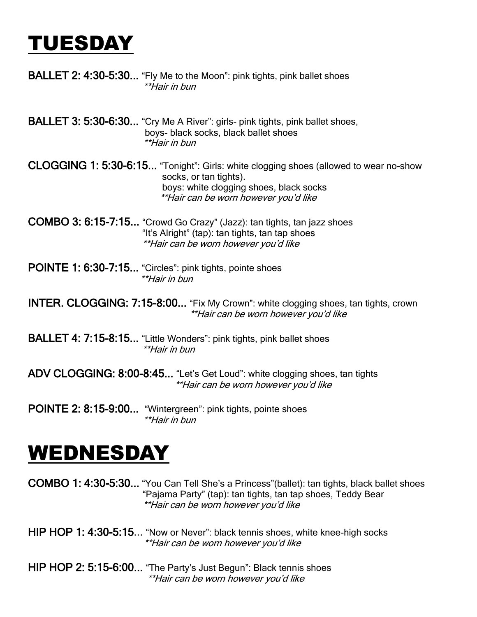## TUESDAY

- **BALLET 2: 4:30-5:30...** "Fly Me to the Moon": pink tights, pink ballet shoes \*\*Hair in bun
- BALLET 3: 5:30-6:30... "Cry Me A River": girls- pink tights, pink ballet shoes, boys- black socks, black ballet shoes \*\*Hair in bun
- CLOGGING 1: 5:30-6:15... "Tonight": Girls: white clogging shoes (allowed to wear no-show socks, or tan tights). boys: white clogging shoes, black socks \*\*Hair can be worn however you'd like
- COMBO 3: 6:15-7:15... "Crowd Go Crazy" (Jazz): tan tights, tan jazz shoes "It's Alright" (tap): tan tights, tan tap shoes \*\*Hair can be worn however you'd like
- POINTE 1: 6:30-7:15... "Circles": pink tights, pointe shoes \*\*Hair in bun

INTER. CLOGGING: 7:15-8:00... "Fix My Crown": white clogging shoes, tan tights, crown \*\*Hair can be worn however you'd like

- BALLET 4: 7:15-8:15... "Little Wonders": pink tights, pink ballet shoes \*\*Hair in bun
- ADV CLOGGING: 8:00-8:45... "Let's Get Loud": white clogging shoes, tan tights \*\*Hair can be worn however you'd like
- POINTE 2: 8:15-9:00... "Wintergreen": pink tights, pointe shoes \*\*Hair in bun

## WEDNESDAY

COMBO 1: 4:30-5:30... "You Can Tell She's a Princess"(ballet): tan tights, black ballet shoes "Pajama Party" (tap): tan tights, tan tap shoes, Teddy Bear \*\*Hair can be worn however you'd like

- HIP HOP 1: 4:30-5:15... "Now or Never": black tennis shoes, white knee-high socks \*\*Hair can be worn however you'd like
- HIP HOP 2: 5:15-6:00... "The Party's Just Begun": Black tennis shoes \*\*Hair can be worn however you'd like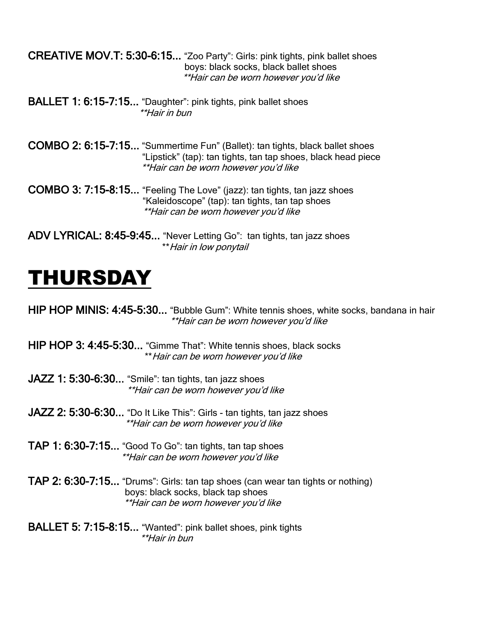CREATIVE MOV.T: 5:30-6:15... "Zoo Party": Girls: pink tights, pink ballet shoes boys: black socks, black ballet shoes \*\*Hair can be worn however you'd like

BALLET 1: 6:15-7:15... "Daughter": pink tights, pink ballet shoes \*\*Hair in bun

COMBO 2: 6:15-7:15... "Summertime Fun" (Ballet): tan tights, black ballet shoes "Lipstick" (tap): tan tights, tan tap shoes, black head piece \*\*Hair can be worn however you'd like

COMBO 3: 7:15-8:15... "Feeling The Love" (jazz): tan tights, tan jazz shoes "Kaleidoscope" (tap): tan tights, tan tap shoes \*\*Hair can be worn however you'd like

ADV LYRICAL: 8:45-9:45... "Never Letting Go": tan tights, tan jazz shoes \*\*Hair in low ponytail

#### THURSDAY

HIP HOP MINIS: 4:45-5:30... "Bubble Gum": White tennis shoes, white socks, bandana in hair \*\*Hair can be worn however you'd like

HIP HOP 3: 4:45-5:30... "Gimme That": White tennis shoes, black socks \*\*Hair can be worn however you'd like

JAZZ 1: 5:30-6:30... "Smile": tan tights, tan jazz shoes \*\*Hair can be worn however you'd like

JAZZ 2: 5:30-6:30... "Do It Like This": Girls - tan tights, tan jazz shoes \*\*Hair can be worn however you'd like

TAP 1: 6:30-7:15... "Good To Go": tan tights, tan tap shoes \*\*Hair can be worn however you'd like

TAP 2: 6:30-7:15... "Drums": Girls: tan tap shoes (can wear tan tights or nothing) boys: black socks, black tap shoes \*\*Hair can be worn however you'd like

BALLET 5: 7:15-8:15... "Wanted": pink ballet shoes, pink tights \*\*Hair in bun